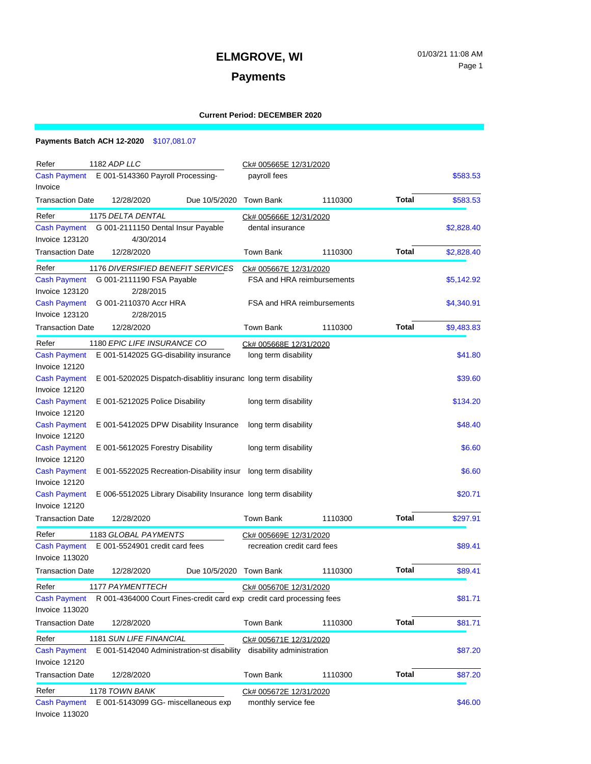# **ELMGROVE, WI** 01/03/21 11:08 AM

### **Payments**

#### **Current Period: DECEMBER 2020**

### **Payments Batch ACH 12-2020** \$107,081.07

| Refer                                                                                             | 1182 ADP LLC                                                               |                        | Ck# 005665E 12/31/2020      |                                   |              |            |  |
|---------------------------------------------------------------------------------------------------|----------------------------------------------------------------------------|------------------------|-----------------------------|-----------------------------------|--------------|------------|--|
| E 001-5143360 Payroll Processing-<br>Cash Payment                                                 |                                                                            | payroll fees           |                             |                                   | \$583.53     |            |  |
| Invoice                                                                                           |                                                                            |                        |                             |                                   |              |            |  |
| <b>Transaction Date</b>                                                                           | 12/28/2020                                                                 | Due 10/5/2020          | Town Bank                   | 1110300                           | <b>Total</b> | \$583.53   |  |
| 1175 DELTA DENTAL<br>Refer                                                                        |                                                                            | Ck# 005666E 12/31/2020 |                             |                                   |              |            |  |
| <b>Cash Payment</b><br>G 001-2111150 Dental Insur Payable                                         |                                                                            |                        | dental insurance            |                                   |              | \$2,828.40 |  |
| <b>Invoice 123120</b>                                                                             | 4/30/2014                                                                  |                        |                             |                                   |              |            |  |
| <b>Transaction Date</b>                                                                           | 12/28/2020                                                                 |                        | Town Bank                   | 1110300                           | <b>Total</b> | \$2,828.40 |  |
| Refer<br><b>1176 DIVERSIFIED BENEFIT SERVICES</b>                                                 |                                                                            | Ck# 005667E 12/31/2020 |                             |                                   |              |            |  |
| G 001-2111190 FSA Payable<br><b>Cash Payment</b>                                                  |                                                                            |                        |                             | <b>FSA and HRA reimbursements</b> |              | \$5,142.92 |  |
| Invoice 123120                                                                                    | 2/28/2015                                                                  |                        |                             |                                   |              |            |  |
| <b>Cash Payment</b><br>G 001-2110370 Accr HRA                                                     |                                                                            |                        | FSA and HRA reimbursements  |                                   | \$4,340.91   |            |  |
| Invoice 123120                                                                                    | 2/28/2015                                                                  |                        |                             |                                   |              |            |  |
| <b>Transaction Date</b>                                                                           | 12/28/2020                                                                 |                        | Town Bank                   | 1110300                           | <b>Total</b> | \$9,483.83 |  |
| 1180 EPIC LIFE INSURANCE CO<br>Refer                                                              |                                                                            |                        | Ck# 005668E 12/31/2020      |                                   |              |            |  |
| <b>Cash Payment</b>                                                                               | E 001-5142025 GG-disability insurance                                      |                        | long term disability        |                                   |              | \$41.80    |  |
| Invoice 12120                                                                                     |                                                                            |                        |                             |                                   |              |            |  |
| <b>Cash Payment</b>                                                                               | E 001-5202025 Dispatch-disablitiy insuranc long term disability<br>\$39.60 |                        |                             |                                   |              |            |  |
| Invoice 12120                                                                                     |                                                                            |                        |                             |                                   |              |            |  |
| <b>Cash Payment</b>                                                                               | E 001-5212025 Police Disability                                            |                        | long term disability        |                                   |              | \$134.20   |  |
| Invoice 12120                                                                                     |                                                                            |                        |                             |                                   |              |            |  |
| <b>Cash Payment</b>                                                                               | E 001-5412025 DPW Disability Insurance                                     |                        | long term disability        |                                   |              | \$48.40    |  |
| Invoice 12120                                                                                     |                                                                            |                        |                             |                                   |              |            |  |
| <b>Cash Payment</b>                                                                               | E 001-5612025 Forestry Disability                                          |                        | long term disability        |                                   |              | \$6.60     |  |
| Invoice 12120                                                                                     |                                                                            |                        |                             |                                   |              |            |  |
| <b>Cash Payment</b><br>E 001-5522025 Recreation-Disability insur long term disability<br>\$6.60   |                                                                            |                        |                             |                                   |              |            |  |
| Invoice 12120                                                                                     |                                                                            |                        |                             |                                   |              |            |  |
| <b>Cash Payment</b><br>E 006-5512025 Library Disability Insurance long term disability<br>\$20.71 |                                                                            |                        |                             |                                   |              |            |  |
| Invoice 12120                                                                                     |                                                                            |                        |                             |                                   |              |            |  |
| <b>Transaction Date</b>                                                                           | 12/28/2020                                                                 |                        | Town Bank                   | 1110300                           | Total        | \$297.91   |  |
| 1183 GLOBAL PAYMENTS<br>Refer<br>Ck# 005669E 12/31/2020                                           |                                                                            |                        |                             |                                   |              |            |  |
| E 001-5524901 credit card fees<br><b>Cash Payment</b>                                             |                                                                            |                        | recreation credit card fees |                                   |              | \$89.41    |  |
| Invoice 113020                                                                                    |                                                                            |                        |                             |                                   |              |            |  |
| <b>Transaction Date</b>                                                                           | 12/28/2020                                                                 | Due 10/5/2020          | Town Bank                   | 1110300                           | <b>Total</b> | \$89.41    |  |
| Refer                                                                                             | 1177 PAYMENTTECH                                                           |                        | Ck# 005670E 12/31/2020      |                                   |              |            |  |
| <b>Cash Payment</b>                                                                               | R 001-4364000 Court Fines-credit card exp credit card processing fees      |                        |                             |                                   |              | \$81.71    |  |
| Invoice 113020                                                                                    |                                                                            |                        |                             |                                   |              |            |  |
| <b>Transaction Date</b>                                                                           | 12/28/2020                                                                 |                        | Town Bank                   | 1110300                           | <b>Total</b> | \$81.71    |  |
| Refer                                                                                             | <b>1181 SUN LIFE FINANCIAL</b>                                             |                        | Ck# 005671E 12/31/2020      |                                   |              |            |  |
| <b>Cash Payment</b><br>E 001-5142040 Administration-st disability                                 |                                                                            |                        | disability administration   |                                   |              | \$87.20    |  |
| Invoice 12120                                                                                     |                                                                            |                        |                             |                                   |              |            |  |
| <b>Transaction Date</b>                                                                           | 12/28/2020                                                                 |                        | Town Bank                   | 1110300                           | <b>Total</b> | \$87.20    |  |
| Refer                                                                                             | 1178 TOWN BANK                                                             |                        | Ck# 005672E 12/31/2020      |                                   |              |            |  |
| <b>Cash Payment</b>                                                                               | E 001-5143099 GG- miscellaneous exp                                        | monthly service fee    |                             |                                   | \$46.00      |            |  |
| Invoice 113020                                                                                    |                                                                            |                        |                             |                                   |              |            |  |